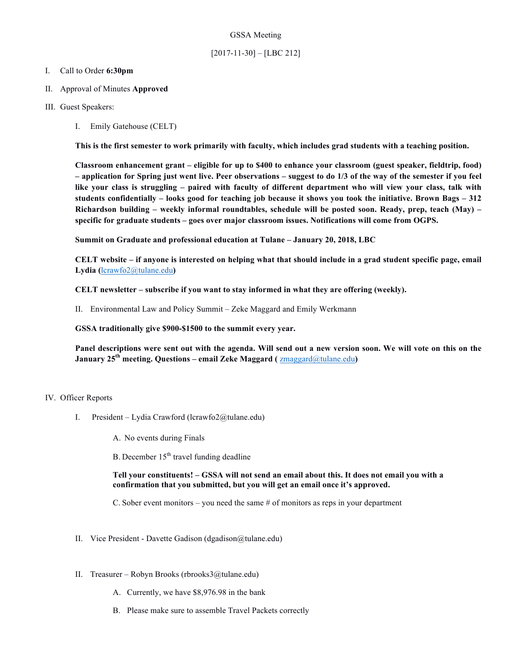### GSSA Meeting

# [2017-11-30] – [LBC 212]

#### I. Call to Order **6:30pm**

- II. Approval of Minutes **Approved**
- III. Guest Speakers:
	- I. Emily Gatehouse (CELT)

**This is the first semester to work primarily with faculty, which includes grad students with a teaching position.** 

**Classroom enhancement grant – eligible for up to \$400 to enhance your classroom (guest speaker, fieldtrip, food) – application for Spring just went live. Peer observations – suggest to do 1/3 of the way of the semester if you feel like your class is struggling – paired with faculty of different department who will view your class, talk with students confidentially – looks good for teaching job because it shows you took the initiative. Brown Bags – 312 Richardson building – weekly informal roundtables, schedule will be posted soon. Ready, prep, teach (May) – specific for graduate students – goes over major classroom issues. Notifications will come from OGPS.**

**Summit on Graduate and professional education at Tulane – January 20, 2018, LBC**

**CELT website – if anyone is interested on helping what that should include in a grad student specific page, email Lydia (**lcrawfo2@tulane.edu**)**

**CELT newsletter – subscribe if you want to stay informed in what they are offering (weekly).**

II. Environmental Law and Policy Summit – Zeke Maggard and Emily Werkmann

**GSSA traditionally give \$900-\$1500 to the summit every year.**

**Panel descriptions were sent out with the agenda. Will send out a new version soon. We will vote on this on the January 25th meeting. Questions – email Zeke Maggard (** zmaggard@tulane.edu**)**

#### IV. Officer Reports

I. President – Lydia Crawford (lcrawfo2@tulane.edu)

A. No events during Finals

B. December  $15<sup>th</sup>$  travel funding deadline

**Tell your constituents! – GSSA will not send an email about this. It does not email you with a confirmation that you submitted, but you will get an email once it's approved.**

C. Sober event monitors – you need the same # of monitors as reps in your department

- II. Vice President Davette Gadison (dgadison@tulane.edu)
- II. Treasurer Robyn Brooks (rbrooks3@tulane.edu)
	- A. Currently, we have \$8,976.98 in the bank
	- B. Please make sure to assemble Travel Packets correctly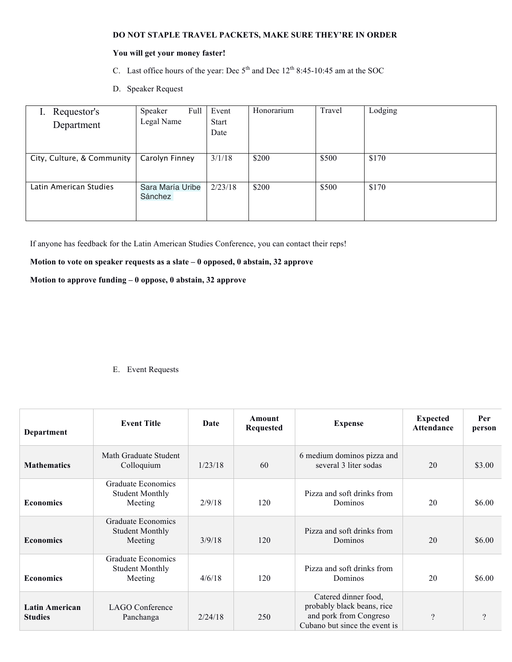#### **DO NOT STAPLE TRAVEL PACKETS, MAKE SURE THEY'RE IN ORDER**

## **You will get your money faster!**

- C. Last office hours of the year: Dec  $5<sup>th</sup>$  and Dec  $12<sup>th</sup>$  8:45-10:45 am at the SOC
- D. Speaker Request

| Requestor's<br>Department  | Speaker<br>Full<br>Legal Name | Event<br><b>Start</b><br>Date | Honorarium | Travel | Lodging |
|----------------------------|-------------------------------|-------------------------------|------------|--------|---------|
|                            |                               |                               |            |        |         |
| City, Culture, & Community | Carolyn Finney                | 3/1/18                        | \$200      | \$500  | \$170   |
| Latin American Studies     | Sara María Uribe<br>Sánchez   | 2/23/18                       | \$200      | \$500  | \$170   |

If anyone has feedback for the Latin American Studies Conference, you can contact their reps!

# **Motion to vote on speaker requests as a slate – 0 opposed, 0 abstain, 32 approve**

## **Motion to approve funding – 0 oppose, 0 abstain, 32 approve**

### E. Event Requests

| Department                              | <b>Event Title</b>                                      | Date    | Amount<br><b>Requested</b> | <b>Expense</b>                                                                                                | <b>Expected</b><br><b>Attendance</b> | Per<br>person |
|-----------------------------------------|---------------------------------------------------------|---------|----------------------------|---------------------------------------------------------------------------------------------------------------|--------------------------------------|---------------|
| <b>Mathematics</b>                      | Math Graduate Student<br>Colloquium                     | 1/23/18 | 60                         | 6 medium dominos pizza and<br>several 3 liter sodas                                                           | 20                                   | \$3.00        |
| <b>Economics</b>                        | Graduate Economics<br><b>Student Monthly</b><br>Meeting | 2/9/18  | 120                        | Pizza and soft drinks from<br>Dominos                                                                         | 20                                   | \$6.00        |
| <b>Economics</b>                        | Graduate Economics<br><b>Student Monthly</b><br>Meeting | 3/9/18  | 120                        | Pizza and soft drinks from<br>Dominos                                                                         | 20                                   | \$6.00        |
| <b>Economics</b>                        | Graduate Economics<br><b>Student Monthly</b><br>Meeting | 4/6/18  | 120                        | Pizza and soft drinks from<br>Dominos                                                                         | 20                                   | \$6.00        |
| <b>Latin American</b><br><b>Studies</b> | <b>LAGO</b> Conference<br>Panchanga                     | 2/24/18 | 250                        | Catered dinner food,<br>probably black beans, rice<br>and pork from Congreso<br>Cubano but since the event is | $\gamma$                             | ?             |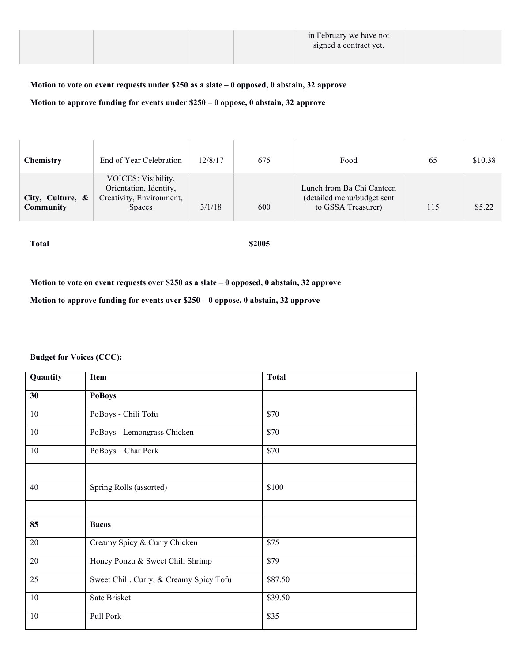|  |  | in February we have not<br>signed a contract yet. |  |
|--|--|---------------------------------------------------|--|
|  |  |                                                   |  |

# **Motion to vote on event requests under \$250 as a slate – 0 opposed, 0 abstain, 32 approve**

**Motion to approve funding for events under \$250 – 0 oppose, 0 abstain, 32 approve**

| <b>Chemistry</b>              | End of Year Celebration                                                                    | 12/8/17 | 675 | Food                                                                          | 65  | \$10.38 |
|-------------------------------|--------------------------------------------------------------------------------------------|---------|-----|-------------------------------------------------------------------------------|-----|---------|
| City, Culture, &<br>Community | VOICES: Visibility,<br>Orientation, Identity,<br>Creativity, Environment,<br><b>Spaces</b> | 3/1/18  | 600 | Lunch from Ba Chi Canteen<br>(detailed menu/budget sent<br>to GSSA Treasurer) | 115 | \$5.22  |

**Total \$2005**

**Motion to vote on event requests over \$250 as a slate – 0 opposed, 0 abstain, 32 approve**

**Motion to approve funding for events over \$250 – 0 oppose, 0 abstain, 32 approve**

**Budget for Voices (CCC):**

| Quantity | <b>Item</b>                             | <b>Total</b> |  |  |  |
|----------|-----------------------------------------|--------------|--|--|--|
| 30       | <b>PoBoys</b>                           |              |  |  |  |
| 10       | PoBoys - Chili Tofu                     | \$70         |  |  |  |
| 10       | PoBoys - Lemongrass Chicken             | \$70         |  |  |  |
| 10       | PoBoys - Char Pork                      | \$70         |  |  |  |
|          |                                         |              |  |  |  |
| 40       | Spring Rolls (assorted)                 | \$100        |  |  |  |
|          |                                         |              |  |  |  |
| 85       | <b>Bacos</b>                            |              |  |  |  |
| 20       | Creamy Spicy & Curry Chicken            | \$75         |  |  |  |
| 20       | Honey Ponzu & Sweet Chili Shrimp        | \$79         |  |  |  |
| 25       | Sweet Chili, Curry, & Creamy Spicy Tofu | \$87.50      |  |  |  |
| 10       | Sate Brisket                            | \$39.50      |  |  |  |
| 10       | Pull Pork                               | \$35         |  |  |  |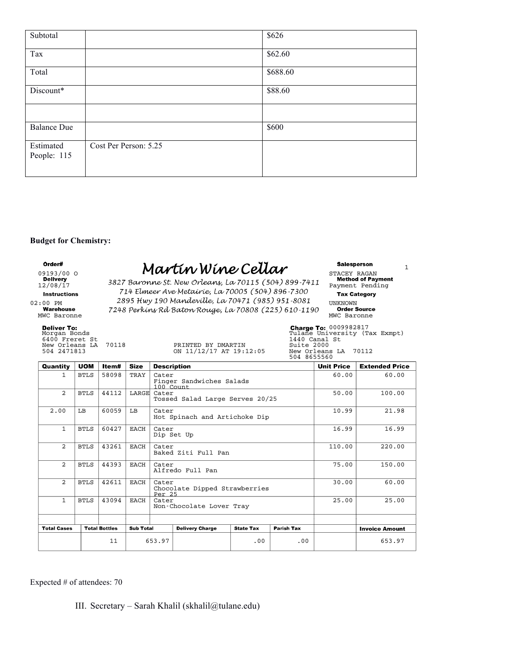| Subtotal                 |                       | \$626    |
|--------------------------|-----------------------|----------|
| Tax                      |                       | \$62.60  |
| Total                    |                       | \$688.60 |
| Discount*                |                       | \$88.60  |
|                          |                       |          |
| <b>Balance Due</b>       |                       | \$600    |
| Estimated<br>People: 115 | Cost Per Person: 5.25 |          |

#### **Budget for Chemistry:**

**Deliver To:**<br>Morgan Bonds<br>6400 Freret St<br>New Orleans LA 70118<br>504 2471813

### 09193/00 O STACEY RAGAN  $M \alpha \nu t \mu \nu \lambda h$

12/08/17 **SOLI DUTONNE St. NEW OFTELLY, CO. 1201** 13 (307) 699-1711 Payment Pending 02:00 PM  $2095$  TWY 190 MUNULEVILLE,  $1000$  PM  $1000$  PM  $1000$  PM  $1000$  UNKNOWN Warehouse 7248 Perking Rd Baton Rouge, La 70808 (225) 610-1190 Corder Source  $\frac{2}{17}$  3827 Baronne St. New Orleans, La 70115 (504) 899-7411 **Method of Payment** 714 Elmeer Ave Metairie, La 70005 (504) 896-7300  $2895$  Hwy 190 Mandeville, La 70471 (985) 951-8081 UNKNOWN

PRINTED BY DMARTIN<br>ON 11/12/17 AT 19:12:05

1

0009982817 Morgan Bonds Tulane University (Tax Exmpt) 504 2471813 ON 11/12/17 AT 19:12:05 New Orleans LA 70112 504 8655560

| Quantity           | <b>UOM</b>  | ltem#                | <b>Size</b>      | <b>Description</b>                |                                 | <b>Unit Price</b> | <b>Extended Price</b> |       |        |
|--------------------|-------------|----------------------|------------------|-----------------------------------|---------------------------------|-------------------|-----------------------|-------|--------|
| 1                  | <b>BTLS</b> | 58098                | TRAY             | Cater<br>100 Count                | Finger Sandwiches Salads        | 60.00             | 60.00                 |       |        |
| $\overline{2}$     | <b>BTLS</b> | 44112                | LARGE            | Cater                             | Tossed Salad Large Serves 20/25 | 50.00             | 100.00                |       |        |
| 2.00               | LB          | 60059                | LB               | Cater                             | Hot Spinach and Artichoke Dip   | 10.99             | 21.98                 |       |        |
| $\mathbf{1}$       | <b>BTLS</b> | 60427                | EACH             | Cater                             | Dip Set Up                      | 16.99             | 16.99                 |       |        |
| $\overline{2}$     | <b>BTLS</b> | 43261                | EACH             | Cater                             | Baked Ziti Full Pan             | 110.00            | 220.00                |       |        |
| $\overline{2}$     | <b>BTLS</b> | 44393                | EACH             | Cater                             | Alfredo Full Pan                | 75.00             | 150.00                |       |        |
| $\overline{a}$     | <b>BTLS</b> | 42611                | EACH             | Cater<br>Per 25                   | Chocolate Dipped Strawberries   | 30.00             | 60.00                 |       |        |
| $\mathbf{1}$       | <b>BTLS</b> | 43094                | EACH             | Cater<br>Non-Chocolate Lover Tray |                                 |                   |                       | 25.00 | 25.00  |
|                    |             |                      |                  |                                   |                                 |                   |                       |       |        |
| <b>Total Cases</b> |             | <b>Total Bottles</b> | <b>Sub Total</b> |                                   | <b>Delivery Charge</b>          |                   | <b>Invoice Amount</b> |       |        |
|                    |             | 11<br>653.97         |                  |                                   |                                 | .00               | .00                   |       | 653.97 |

Expected # of attendees: 70